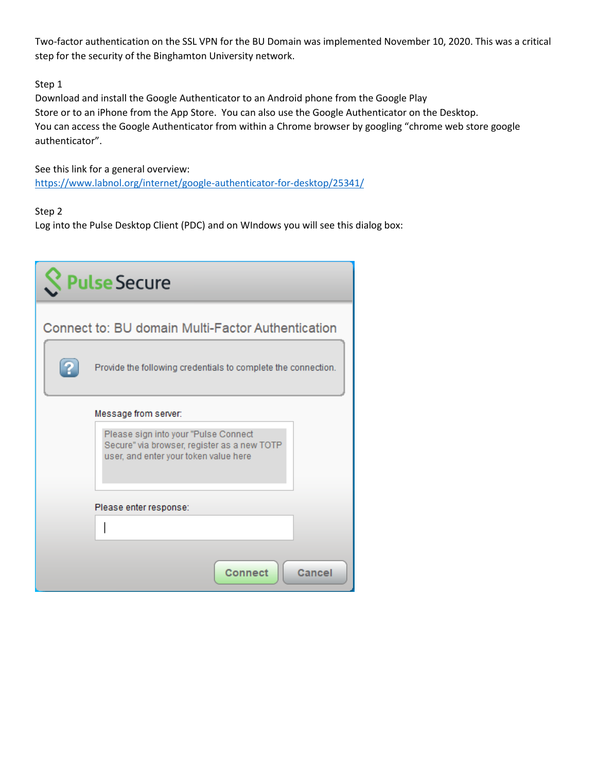Two-factor authentication on the SSL VPN for the BU Domain was implemented November 10, 2020. This was a critical step for the security of the Binghamton University network.

# Step 1

Download and install the Google Authenticator to an Android phone from the Google Play Store or to an iPhone from the App Store. You can also use the Google Authenticator on the Desktop. You can access the Google Authenticator from within a Chrome browser by googling "chrome web store google authenticator".

See this link for a general overview: <https://www.labnol.org/internet/google-authenticator-for-desktop/25341/>

# Step 2

Log into the Pulse Desktop Client (PDC) and on WIndows you will see this dialog box:

| <b>Pulse Secure</b>                                                                                                          |
|------------------------------------------------------------------------------------------------------------------------------|
| Connect to: BU domain Multi-Factor Authentication                                                                            |
| Provide the following credentials to complete the connection.                                                                |
| Message from server:                                                                                                         |
| Please sign into your "Pulse Connect<br>Secure" via browser, register as a new TOTP<br>user, and enter your token value here |
| Please enter response:                                                                                                       |
|                                                                                                                              |
| <b>Connect</b><br>Cancel                                                                                                     |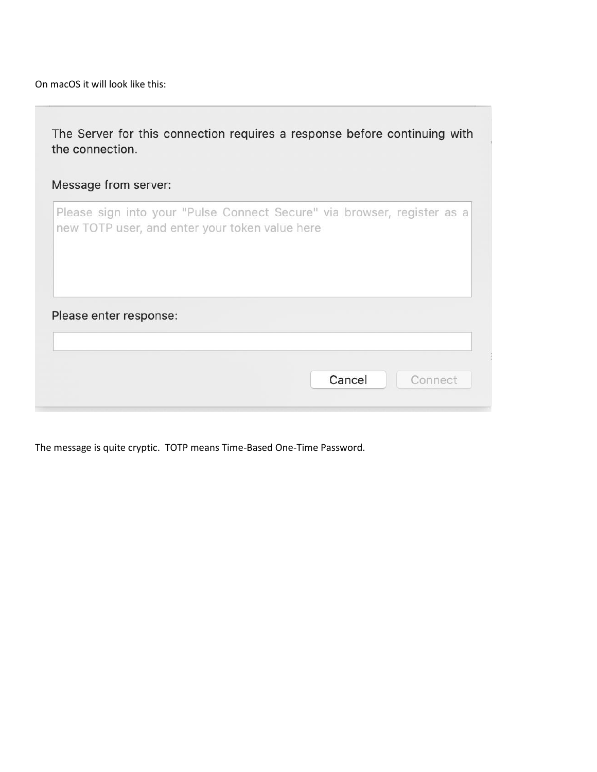On macOS it will look like this:

| Message from server:   |                                                                                                                           |
|------------------------|---------------------------------------------------------------------------------------------------------------------------|
|                        | Please sign into your "Pulse Connect Secure" via browser, register as a<br>new TOTP user, and enter your token value here |
|                        |                                                                                                                           |
| Please enter response: |                                                                                                                           |

The message is quite cryptic. TOTP means Time-Based One-Time Password.